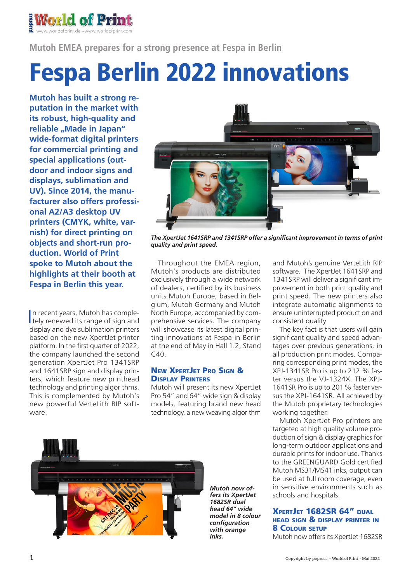

**Mutoh EMEA prepares for a strong presence at Fespa in Berlin** 

# Fespa Berlin 2022 innovations

**Mutoh has built a strong reputation in the market with its robust, high-quality and**  reliable "Made in Japan" **wide-format digital printers for commercial printing and special applications (outdoor and indoor signs and displays, sublimation and UV). Since 2014, the manufacturer also offers professional A2/A3 desktop UV printers (CMYK, white, varnish) for direct printing on objects and short-run production. World of Print spoke to Mutoh about the highlights at their booth at Fespa in Berlin this year.**

In recent years, Mutoh has comple-<br>tely renewed its range of sign and n recent years, Mutoh has compledisplay and dye sublimation printers based on the new XpertJet printer platform. In the first quarter of 2022, the company launched the second generation XpertJet Pro 1341SRP and 1641SRP sign and display printers, which feature new printhead technology and printing algorithms. This is complemented by Mutoh's new powerful VerteLith RIP software.



*The XpertJet 1641SRP and 1341SRP offer a significant improvement in terms of print quality and print speed.*

Throughout the EMEA region, Mutoh's products are distributed exclusively through a wide network of dealers, certified by its business units Mutoh Europe, based in Belgium, Mutoh Germany and Mutoh North Europe, accompanied by comprehensive services. The company will showcase its latest digital printing innovations at Fespa in Berlin at the end of May in Hall 1.2, Stand  $C40$ 

## New XpertJet Pro Sign & **DISPLAY PRINTERS**

Mutoh will present its new XpertJet Pro 54" and 64" wide sign & display models, featuring brand new head technology, a new weaving algorithm



*Mutoh now offers its XpertJet 1682SR dual head 64" wide model in 8 colour configuration with orange inks.* 

and Mutoh's genuine VerteLith RIP software. The XpertJet 1641SRP and 1341SRP will deliver a significant improvement in both print quality and print speed. The new printers also integrate automatic alignments to ensure uninterrupted production and consistent quality

The key fact is that users will gain significant quality and speed advantages over previous generations, in all production print modes. Comparing corresponding print modes, the XPJ-1341SR Pro is up to 212 % faster versus the VJ-1324X. The XPJ-1641SR Pro is up to 201 % faster versus the XPJ-1641SR. All achieved by the Mutoh proprietary technologies working together.

Mutoh XpertJet Pro printers are targeted at high quality volume production of sign & display graphics for long-term outdoor applications and durable prints for indoor use. Thanks to the GREENGUARD Gold certified Mutoh MS31/MS41 inks, output can be used at full room coverage, even in sensitive environments such as schools and hospitals.

# XpertJet 1682SR 64" dual head sign & display printer in 8 Colour setup

Mutoh now offers its XpertJet 1682SR